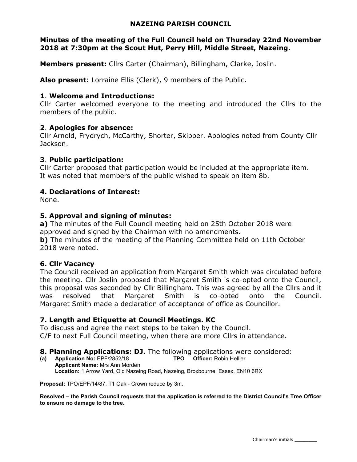## NAZEING PARISH COUNCIL

## Minutes of the meeting of the Full Council held on Thursday 22nd November 2018 at 7:30pm at the Scout Hut, Perry Hill, Middle Street, Nazeing.

Members present: Cllrs Carter (Chairman), Billingham, Clarke, Joslin.

Also present: Lorraine Ellis (Clerk), 9 members of the Public.

## 1. Welcome and Introductions:

Cllr Carter welcomed everyone to the meeting and introduced the Cllrs to the members of the public.

# 2. Apologies for absence:

Cllr Arnold, Frydrych, McCarthy, Shorter, Skipper. Apologies noted from County Cllr Jackson.

# 3. Public participation:

Cllr Carter proposed that participation would be included at the appropriate item. It was noted that members of the public wished to speak on item 8b.

# 4. Declarations of Interest:

None.

# 5. Approval and signing of minutes:

a) The minutes of the Full Council meeting held on 25th October 2018 were approved and signed by the Chairman with no amendments.

b) The minutes of the meeting of the Planning Committee held on 11th October 2018 were noted.

## 6. Cllr Vacancy

The Council received an application from Margaret Smith which was circulated before the meeting. Cllr Joslin proposed that Margaret Smith is co-opted onto the Council, this proposal was seconded by Cllr Billingham. This was agreed by all the Cllrs and it was resolved that Margaret Smith is co-opted onto the Council. Margaret Smith made a declaration of acceptance of office as Councillor.

# 7. Length and Etiquette at Council Meetings. KC

To discuss and agree the next steps to be taken by the Council. C/F to next Full Council meeting, when there are more Cllrs in attendance.

# **8. Planning Applications: DJ.** The following applications were considered:

(a) Application No: EPF/2852/18 TPO Officer: Robin Hellier Applicant Name: Mrs Ann Morden Location: 1 Arrow Yard, Old Nazeing Road, Nazeing, Broxbourne, Essex, EN10 6RX

Proposal: TPO/EPF/14/87. T1 Oak - Crown reduce by 3m.

Resolved – the Parish Council requests that the application is referred to the District Council's Tree Officer to ensure no damage to the tree.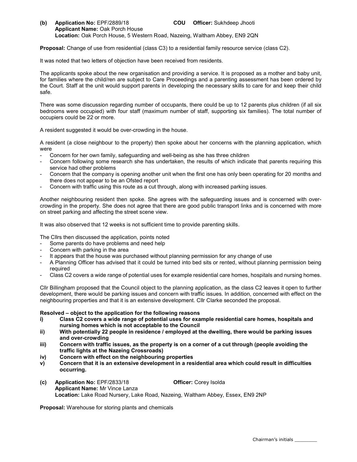(b) Application No: EPF/2889/18 COU Officer: Sukhdeep Jhooti Applicant Name: Oak Porch House Location: Oak Porch House, 5 Western Road, Nazeing, Waltham Abbey, EN9 2QN

Proposal: Change of use from residential (class C3) to a residential family resource service (class C2).

It was noted that two letters of objection have been received from residents.

The applicants spoke about the new organisation and providing a service. It is proposed as a mother and baby unit, for families where the child/ren are subject to Care Proceedings and a parenting assessment has been ordered by the Court. Staff at the unit would support parents in developing the necessary skills to care for and keep their child safe.

There was some discussion regarding number of occupants, there could be up to 12 parents plus children (if all six bedrooms were occupied) with four staff (maximum number of staff, supporting six families). The total number of occupiers could be 22 or more.

A resident suggested it would be over-crowding in the house.

A resident (a close neighbour to the property) then spoke about her concerns with the planning application, which were

- Concern for her own family, safeguarding and well-being as she has three children
- Concern following some research she has undertaken, the results of which indicate that parents requiring this service had other problems
- Concern that the company is opening another unit when the first one has only been operating for 20 months and there does not appear to be an Ofsted report
- Concern with traffic using this route as a cut through, along with increased parking issues.

Another neighbouring resident then spoke. She agrees with the safeguarding issues and is concerned with overcrowding in the property. She does not agree that there are good public transport links and is concerned with more on street parking and affecting the street scene view.

It was also observed that 12 weeks is not sufficient time to provide parenting skills.

The Cllrs then discussed the application, points noted

- Some parents do have problems and need help
- Concern with parking in the area
- It appears that the house was purchased without planning permission for any change of use
- A Planning Officer has advised that it could be turned into bed sits or rented, without planning permission being required
- Class C2 covers a wide range of potential uses for example residential care homes, hospitals and nursing homes.

Cllr Billingham proposed that the Council object to the planning application, as the class C2 leaves it open to further development, there would be parking issues and concern with traffic issues. In addition, concerned with effect on the neighbouring properties and that it is an extensive development. Cllr Clarke seconded the proposal.

#### Resolved – object to the application for the following reasons

- i) Class C2 covers a wide range of potential uses for example residential care homes, hospitals and nursing homes which is not acceptable to the Council
- ii) With potentially 22 people in residence / employed at the dwelling, there would be parking issues and over-crowding
- iii) Concern with traffic issues, as the property is on a corner of a cut through (people avoiding the traffic lights at the Nazeing Crossroads)
- iv) Concern with effect on the neighbouring properties
- v) Concern that it is an extensive development in a residential area which could result in difficulties occurring.
- (c) Application No: EPF/2833/18 Officer: Corey Isolda Applicant Name: Mr Vince Lanza Location: Lake Road Nursery, Lake Road, Nazeing, Waltham Abbey, Essex, EN9 2NP

Proposal: Warehouse for storing plants and chemicals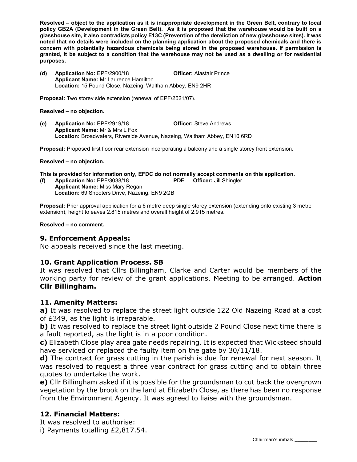Resolved – object to the application as it is inappropriate development in the Green Belt, contrary to local policy GB2A (Development in the Green Belt). As it is proposed that the warehouse would be built on a glasshouse site, it also contradicts policy E13C (Prevention of the dereliction of new glasshouse sites). It was noted that no details were included on the planning application about the proposed chemicals and there is concern with potentially hazardous chemicals being stored in the proposed warehouse. If permission is granted, it be subject to a condition that the warehouse may not be used as a dwelling or for residential purposes.

(d) Application No: EPF/2900/18 Officer: Alastair Prince Applicant Name: Mr Laurence Hamilton Location: 15 Pound Close, Nazeing, Waltham Abbey, EN9 2HR

Proposal: Two storey side extension (renewal of EPF/2521/07).

#### Resolved – no objection.

(e) Application No: EPF/2919/18 Officer: Steve Andrews Applicant Name: Mr & Mrs L Fox Location: Broadwaters, Riverside Avenue, Nazeing, Waltham Abbey, EN10 6RD

Proposal: Proposed first floor rear extension incorporating a balcony and a single storey front extension.

#### Resolved – no objection.

This is provided for information only, EFDC do not normally accept comments on this application.

(f) Application No: EPF/3038/18 PDE Officer: Jill Shingler Applicant Name: Miss Mary Regan Location: 69 Shooters Drive, Nazeing, EN9 2QB

Proposal: Prior approval application for a 6 metre deep single storey extension (extending onto existing 3 metre extension), height to eaves 2.815 metres and overall height of 2.915 metres.

Resolved – no comment.

### 9. Enforcement Appeals:

No appeals received since the last meeting.

### 10. Grant Application Process. SB

It was resolved that Cllrs Billingham, Clarke and Carter would be members of the working party for review of the grant applications. Meeting to be arranged. **Action** Cllr Billingham.

### 11. Amenity Matters:

a) It was resolved to replace the street light outside 122 Old Nazeing Road at a cost of £349, as the light is irreparable.

b) It was resolved to replace the street light outside 2 Pound Close next time there is a fault reported, as the light is in a poor condition.

c) Elizabeth Close play area gate needs repairing. It is expected that Wicksteed should have serviced or replaced the faulty item on the gate by 30/11/18.

d) The contract for grass cutting in the parish is due for renewal for next season. It was resolved to request a three year contract for grass cutting and to obtain three quotes to undertake the work.

e) Cllr Billingham asked if it is possible for the groundsman to cut back the overgrown vegetation by the brook on the land at Elizabeth Close, as there has been no response from the Environment Agency. It was agreed to liaise with the groundsman.

## 12. Financial Matters:

It was resolved to authorise:

i) Payments totalling £2,817.54.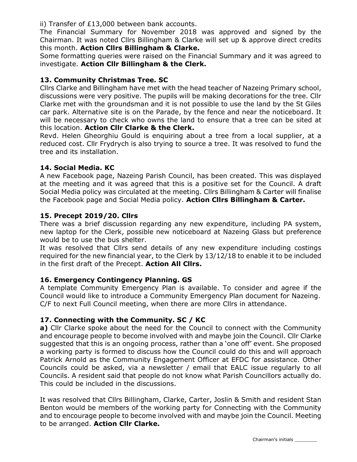ii) Transfer of £13,000 between bank accounts.

The Financial Summary for November 2018 was approved and signed by the Chairman. It was noted Cllrs Billingham & Clarke will set up & approve direct credits this month. Action Cllrs Billingham & Clarke.

Some formatting queries were raised on the Financial Summary and it was agreed to investigate. Action Cllr Billingham & the Clerk.

# 13. Community Christmas Tree. SC

Cllrs Clarke and Billingham have met with the head teacher of Nazeing Primary school, discussions were very positive. The pupils will be making decorations for the tree. Cllr Clarke met with the groundsman and it is not possible to use the land by the St Giles car park. Alternative site is on the Parade, by the fence and near the noticeboard. It will be necessary to check who owns the land to ensure that a tree can be sited at this location. Action Cllr Clarke & the Clerk.

Revd. Helen Gheorghiu Gould is enquiring about a tree from a local supplier, at a reduced cost. Cllr Frydrych is also trying to source a tree. It was resolved to fund the tree and its installation.

# 14. Social Media. KC

A new Facebook page, Nazeing Parish Council, has been created. This was displayed at the meeting and it was agreed that this is a positive set for the Council. A draft Social Media policy was circulated at the meeting. Cllrs Billingham & Carter will finalise the Facebook page and Social Media policy. Action Cllrs Billingham & Carter.

# 15. Precept 2019/20. Cllrs

There was a brief discussion regarding any new expenditure, including PA system, new laptop for the Clerk, possible new noticeboard at Nazeing Glass but preference would be to use the bus shelter.

It was resolved that Cllrs send details of any new expenditure including costings required for the new financial year, to the Clerk by 13/12/18 to enable it to be included in the first draft of the Precept. Action All Cllrs.

# 16. Emergency Contingency Planning. GS

A template Community Emergency Plan is available. To consider and agree if the Council would like to introduce a Community Emergency Plan document for Nazeing. C/F to next Full Council meeting, when there are more Cllrs in attendance.

# 17. Connecting with the Community. SC / KC

a) Cllr Clarke spoke about the need for the Council to connect with the Community and encourage people to become involved with and maybe join the Council. Cllr Clarke suggested that this is an ongoing process, rather than a 'one off' event. She proposed a working party is formed to discuss how the Council could do this and will approach Patrick Arnold as the Community Engagement Officer at EFDC for assistance. Other Councils could be asked, via a newsletter / email that EALC issue regularly to all Councils. A resident said that people do not know what Parish Councillors actually do. This could be included in the discussions.

It was resolved that Cllrs Billingham, Clarke, Carter, Joslin & Smith and resident Stan Benton would be members of the working party for Connecting with the Community and to encourage people to become involved with and maybe join the Council. Meeting to be arranged. Action Cllr Clarke.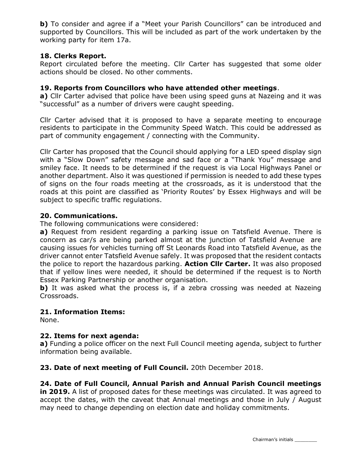b) To consider and agree if a "Meet your Parish Councillors" can be introduced and supported by Councillors. This will be included as part of the work undertaken by the working party for item 17a.

# 18. Clerks Report.

Report circulated before the meeting. Cllr Carter has suggested that some older actions should be closed. No other comments.

## 19. Reports from Councillors who have attended other meetings.

a) Cllr Carter advised that police have been using speed guns at Nazeing and it was "successful" as a number of drivers were caught speeding.

Cllr Carter advised that it is proposed to have a separate meeting to encourage residents to participate in the Community Speed Watch. This could be addressed as part of community engagement / connecting with the Community.

Cllr Carter has proposed that the Council should applying for a LED speed display sign with a "Slow Down" safety message and sad face or a "Thank You" message and smiley face. It needs to be determined if the request is via Local Highways Panel or another department. Also it was questioned if permission is needed to add these types of signs on the four roads meeting at the crossroads, as it is understood that the roads at this point are classified as 'Priority Routes' by Essex Highways and will be subject to specific traffic regulations.

# 20. Communications.

The following communications were considered:

a) Request from resident regarding a parking issue on Tatsfield Avenue. There is concern as car/s are being parked almost at the junction of Tatsfield Avenue are causing issues for vehicles turning off St Leonards Road into Tatsfield Avenue, as the driver cannot enter Tatsfield Avenue safely. It was proposed that the resident contacts the police to report the hazardous parking. **Action Cllr Carter.** It was also proposed that if yellow lines were needed, it should be determined if the request is to North Essex Parking Partnership or another organisation.

b) It was asked what the process is, if a zebra crossing was needed at Nazeing Crossroads.

## 21. Information Items:

None.

## 22. Items for next agenda:

a) Funding a police officer on the next Full Council meeting agenda, subject to further information being available.

23. Date of next meeting of Full Council. 20th December 2018.

## 24. Date of Full Council, Annual Parish and Annual Parish Council meetings

in 2019. A list of proposed dates for these meetings was circulated. It was agreed to accept the dates, with the caveat that Annual meetings and those in July / August may need to change depending on election date and holiday commitments.